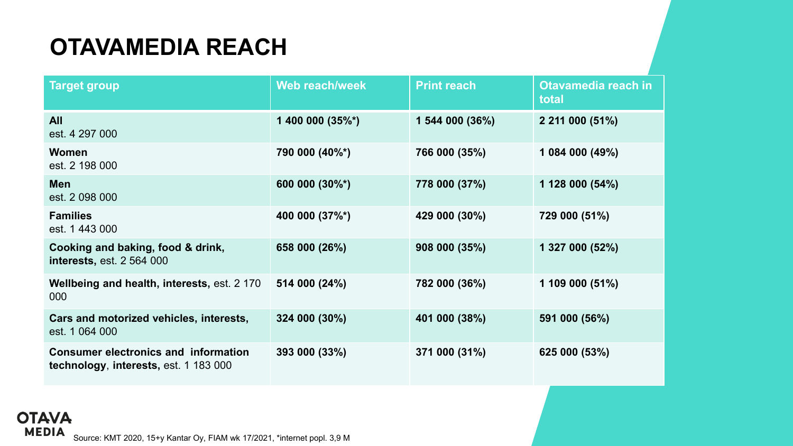## **OTAVAMEDIA REACH**

| <b>Target group</b>                                                                  | Web reach/week   | <b>Print reach</b> | Otavamedia reach in<br>total |
|--------------------------------------------------------------------------------------|------------------|--------------------|------------------------------|
| <b>All</b><br>est. 4 297 000                                                         | 1 400 000 (35%*) | 1 544 000 (36%)    | 2 211 000 (51%)              |
| <b>Women</b><br>est. 2 198 000                                                       | 790 000 (40%*)   | 766 000 (35%)      | 1 084 000 (49%)              |
| <b>Men</b><br>est. 2 098 000                                                         | 600 000 (30%*)   | 778 000 (37%)      | 1 128 000 (54%)              |
| <b>Families</b><br>est. 1 443 000                                                    | 400 000 (37%*)   | 429 000 (30%)      | 729 000 (51%)                |
| Cooking and baking, food & drink,<br><b>interests, est. 2 564 000</b>                | 658 000 (26%)    | 908 000 (35%)      | 1 327 000 (52%)              |
| Wellbeing and health, interests, est. 2 170<br>000                                   | 514 000 (24%)    | 782 000 (36%)      | 1 109 000 $(51\%)$           |
| Cars and motorized vehicles, interests,<br>est. 1 064 000                            | 324 000 (30%)    | 401 000 (38%)      | 591 000 (56%)                |
| <b>Consumer electronics and information</b><br>technology, interests, est. 1 183 000 | 393 000 (33%)    | 371 000 (31%)      | 625 000 (53%)                |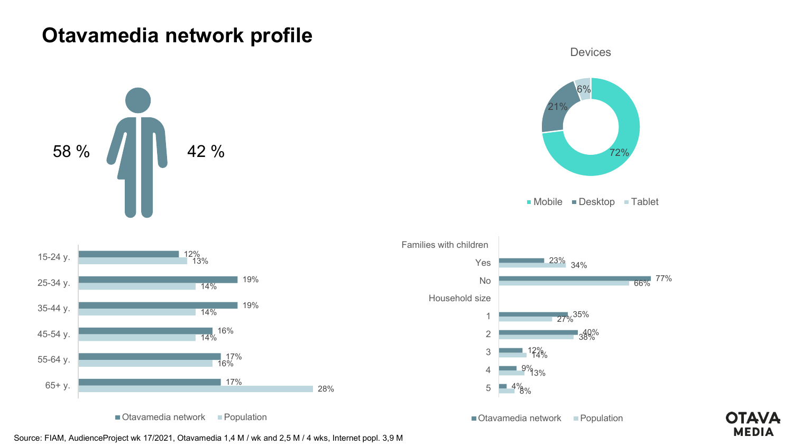## **Otavamedia network profile**







■ Mobile ■ Desktop ■ Tablet



 $\blacksquare$  Otavamedia network  $\blacksquare$  Population



■ Otavamedia network ■ Population



Source: FIAM, AudienceProject wk 17/2021, Otavamedia 1,4 M / wk and 2,5 M / 4 wks, Internet popl. 3,9 M

28%